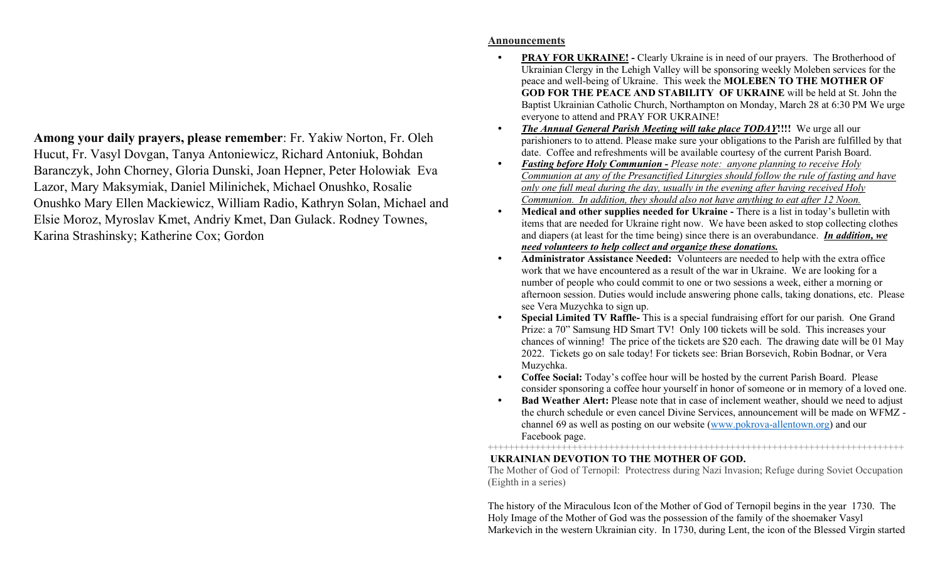Among your daily prayers, please remember: Fr. Yakiw Norton, Fr. Oleh Hucut, Fr. Vasyl Dovgan, Tanya Antoniewicz, Richard Antoniuk, Bohdan Baranczyk, John Chorney, Gloria Dunski, Joan Hepner, Peter Holowiak Eva Lazor, Mary Maksymiak, Daniel Milinichek, Michael Onushko, Rosalie Onushko Mary Ellen Mackiewicz, William Radio, Kathryn Solan, Michael and Elsie Moroz, Myroslav Kmet, Andriy Kmet, Dan Gulack. Rodney Townes, Karina Strashinsky; Katherine Cox; Gordon

## Announcements

- **PRAY FOR UKRAINE!** Clearly Ukraine is in need of our prayers. The Brotherhood of Ukrainian Clergy in the Lehigh Valley will be sponsoring weekly Moleben services for the peace and well-being of Ukraine. This week the MOLEBEN TO THE MOTHER OF GOD FOR THE PEACE AND STABILITY OF UKRAINE will be held at St. John the Baptist Ukrainian Catholic Church, Northampton on Monday, March 28 at 6:30 PM We urge everyone to attend and PRAY FOR UKRAINE!
- The Annual General Parish Meeting will take place TODAY!!!! We urge all our parishioners to to attend. Please make sure your obligations to the Parish are fulfilled by that date. Coffee and refreshments will be available courtesy of the current Parish Board.
- Fasting before Holy Communion Please note: anyone planning to receive Holy Communion at any of the Presanctified Liturgies should follow the rule of fasting and have only one full meal during the day, usually in the evening after having received Holy Communion. In addition, they should also not have anything to eat after 12 Noon.
- Medical and other supplies needed for Ukraine There is a list in today's bulletin with items that are needed for Ukraine right now. We have been asked to stop collecting clothes and diapers (at least for the time being) since there is an overabundance. In addition, we need volunteers to help collect and organize these donations.
- Administrator Assistance Needed: Volunteers are needed to help with the extra office work that we have encountered as a result of the war in Ukraine. We are looking for a number of people who could commit to one or two sessions a week, either a morning or afternoon session. Duties would include answering phone calls, taking donations, etc. Please see Vera Muzychka to sign up.
- Special Limited TV Raffle- This is a special fundraising effort for our parish. One Grand Prize: a 70" Samsung HD Smart TV! Only 100 tickets will be sold. This increases your chances of winning! The price of the tickets are \$20 each. The drawing date will be 01 May 2022. Tickets go on sale today! For tickets see: Brian Borsevich, Robin Bodnar, or Vera Muzychka.
- Coffee Social: Today's coffee hour will be hosted by the current Parish Board. Please consider sponsoring a coffee hour yourself in honor of someone or in memory of a loved one.
- Bad Weather Alert: Please note that in case of inclement weather, should we need to adjust the church schedule or even cancel Divine Services, announcement will be made on WFMZ channel 69 as well as posting on our website (www.pokrova-allentown.org) and our Facebook page.

+++++++++++++++++++++++++++++++++++++++++++++++++++++++++++++++++++++++++++++++

## UKRAINIAN DEVOTION TO THE MOTHER OF GOD.

The Mother of God of Ternopil: Protectress during Nazi Invasion; Refuge during Soviet Occupation (Eighth in a series)

The history of the Miraculous Icon of the Mother of God of Ternopil begins in the year 1730. The Holy Image of the Mother of God was the possession of the family of the shoemaker Vasyl Markevich in the western Ukrainian city. In 1730, during Lent, the icon of the Blessed Virgin started